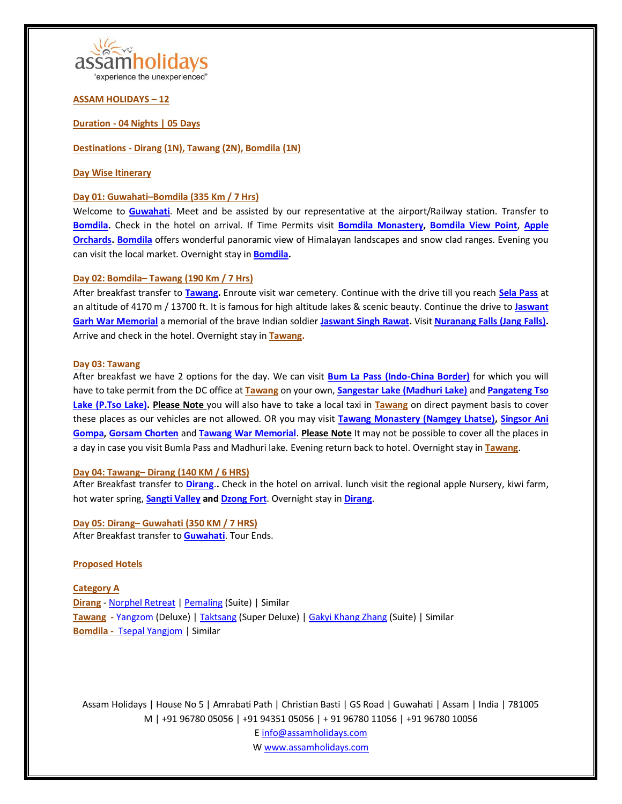

### **ASSAM HOLIDAYS – 12**

**Duration - 04 Nights | 05 Days**

**Destinations - [Dirang](https://en.wikipedia.org/wiki/Dirang) (1N), [Tawang](https://en.wikipedia.org/wiki/Tawang) (2N)[, Bomdila](https://en.wikipedia.org/wiki/Bomdila) (1N)**

### **Day Wise Itinerary**

### **Day 01[: Guwahati](https://en.wikipedia.org/wiki/Guwahati)–[Bomdila](https://en.wikipedia.org/wiki/Bomdila) (335 Km / 7 Hrs)**

Welcome to **[Guwahati](https://en.wikipedia.org/wiki/Guwahati)**. Meet and be assisted by our representative at the airport/Railway station. Transfer to **[Bomdila.](https://en.wikipedia.org/wiki/Bomdila)** Check in the hotel on arrival. If Time Permits visit **[Bomdila Monastery,](https://www.tripadvisor.in/Attraction_Review-g858482-d3912763-Reviews-Bomdila_Monastery-Bomdila_West_Kameng_District_Arunachal_Pradesh.html) [Bomdila View Point](https://www.tripadvisor.in/Attraction_Review-g858482-d4155035-Reviews-Bomdila_View_Point-Bomdila_West_Kameng_District_Arunachal_Pradesh.html)**, **[Apple](https://www.tripadvisor.in/Attraction_Review-g858482-d4151775-Reviews-Apple_Orchards-Bomdila_West_Kameng_District_Arunachal_Pradesh.html)  [Orchards.](https://www.tripadvisor.in/Attraction_Review-g858482-d4151775-Reviews-Apple_Orchards-Bomdila_West_Kameng_District_Arunachal_Pradesh.html) [Bomdila](https://en.wikipedia.org/wiki/Bomdila)** offers wonderful panoramic view of Himalayan landscapes and snow clad ranges. Evening you can visit the local market. Overnight stay in **[Bomdila.](https://en.wikipedia.org/wiki/Bomdila)**

### **Day 02[: Bomdila](https://en.wikipedia.org/wiki/Bomdila)– [Tawang](https://en.wikipedia.org/wiki/Tawang) (190 Km / 7 Hrs)**

After breakfast transfer to **[Tawang.](https://en.wikipedia.org/wiki/Tawang)** Enroute visit war cemetery. Continue with the drive till you reach **[Sela Pass](https://en.wikipedia.org/wiki/Sela_Pass)** at an altitude of 4170 m / 13700 ft. It is famous for high altitude lakes & scenic beauty. Continue the drive to **[Jaswant](https://www.tripadvisor.in/Attraction_Review-g858483-d3218252-Reviews-Jaswant_Garh-Tawang_Tawang_District_Arunachal_Pradesh.html)  [Garh War Memorial](https://www.tripadvisor.in/Attraction_Review-g858483-d3218252-Reviews-Jaswant_Garh-Tawang_Tawang_District_Arunachal_Pradesh.html)** a memorial of the brave Indian soldier **[Jaswant Singh Rawat.](https://en.wikipedia.org/wiki/Jaswant_Singh_Rawat)** Visit **[Nuranang Falls \(Jang Falls\).](https://en.wikipedia.org/wiki/Nuranang_Falls)** Arrive and check in the hotel. Overnight stay in **[Tawang.](https://en.wikipedia.org/wiki/Tawang)**

#### **Day 03[: Tawang](https://en.wikipedia.org/wiki/Tawang)**

After breakfast we have 2 options for the day. We can visit **[Bum La Pass \(Indo-China Border\)](https://en.wikipedia.org/wiki/Bum_La_Pass)** for which you will have to take permit from the DC office at **[Tawang](https://en.wikipedia.org/wiki/Tawang)** on your own, **[Sangestar Lake \(Madhuri Lake\)](https://www.tripadvisor.in/Attraction_Review-g858483-d2538340-Reviews-Madhuri_Lake-Tawang_Tawang_District_Arunachal_Pradesh.html)** and **[Pangateng Tso](https://www.tripadvisor.in/Attraction_Review-g858483-d3913005-Reviews-Pangateng_Tso_Lake-Tawang_Tawang_District_Arunachal_Pradesh.html)  [Lake \(P.Tso Lake\).](https://www.tripadvisor.in/Attraction_Review-g858483-d3913005-Reviews-Pangateng_Tso_Lake-Tawang_Tawang_District_Arunachal_Pradesh.html) Please Note** you will also have to take a local taxi in **[Tawang](https://en.wikipedia.org/wiki/Tawang)** on direct payment basis to cover these places as our vehicles are not allowed. OR you may visit **[Tawang Monastery \(Namgey Lhatse\),](https://en.wikipedia.org/wiki/Tawang_Monastery) [Singsor Ani](https://www.tripadvisor.in/Attraction_Review-g858483-d4138896-Reviews-Singsor_Ani_Gompa-Tawang_Tawang_District_Arunachal_Pradesh.html)  [Gompa,](https://www.tripadvisor.in/Attraction_Review-g858483-d4138896-Reviews-Singsor_Ani_Gompa-Tawang_Tawang_District_Arunachal_Pradesh.html) [Gorsam Chorten](https://www.tripadvisor.in/Attraction_Review-g858483-d10305296-Reviews-Gorsam_Chorten-Tawang_Tawang_District_Arunachal_Pradesh.html)** and **[Tawang War Memorial](https://www.tripadvisor.in/Attraction_Review-g858483-d3244711-Reviews-Tawang_War_Memorial-Tawang_Tawang_District_Arunachal_Pradesh.html)**. **Please Note** It may not be possible to cover all the places in a day in case you visit Bumla Pass and Madhuri lake. Evening return back to hotel. Overnight stay in **[Tawang](https://en.wikipedia.org/wiki/Tawang)**.

#### **Day 04[: Tawang](https://en.wikipedia.org/wiki/Tawang)– [Dirang](https://en.wikipedia.org/wiki/Dirang) (140 KM / 6 HRS)**

After Breakfast transfer to **[Dirang](https://en.wikipedia.org/wiki/Dirang)**.**.** Check in the hotel on arrival. lunch visit the regional apple Nursery, kiwi farm, hot water spring, **[Sangti Valley](https://www.tripadvisor.in/Attraction_Review-g1486505-d9722260-Reviews-Sangti_Valley-Dirang_West_Kameng_District_Arunachal_Pradesh.html) and [Dzong Fort](https://www.tripadvisor.in/Attraction_Review-g1486505-d4475339-Reviews-Dirang_Dzong_Fort-Dirang_West_Kameng_District_Arunachal_Pradesh.html)**. Overnight stay in **[Dirang](https://en.wikipedia.org/wiki/Dirang)**.

**Day 05: [Dirang](https://en.wikipedia.org/wiki/Dirang)– [Guwahati](https://en.wikipedia.org/wiki/Guwahati) (350 KM / 7 HRS)** After Breakfast transfer to **[Guwahati](https://en.wikipedia.org/wiki/Guwahati)**. Tour Ends.

#### **Proposed Hotels**

**Category A [Dirang](https://en.wikipedia.org/wiki/Dirang)** - [Norphel Retreat](http://www.norphelretreat.in/) [| Pemaling](https://hotelpemaling.com/) (Suite) | Similar **[Tawang](https://en.wikipedia.org/wiki/Tawang) -** [Yangzom](http://www.hotelyangzom.com/about-us.html) (Deluxe) [| Taktsang](http://hoteltaktsang.in/starhotel/index.php) (Super Deluxe) [| Gakyi Khang Zhang](https://www.tripadvisor.in/Hotel_Review-g858483-d2087293-Reviews-Hotel_Gakyi_Khang_Zhang-Tawang_Tawang_District_Arunachal_Pradesh.html) (Suite) | Similar **[Bomdila](https://en.wikipedia.org/wiki/Bomdila) -** [Tsepal Yangjom](http://hoteltsepalyangjom.in/accommodation.html) | Similar

Assam Holidays | House No 5 | Amrabati Path | Christian Basti | GS Road | Guwahati | Assam | India | 781005 M | +91 96780 05056 | +91 94351 05056 | + 91 96780 11056 | +91 96780 10056 [E info@assamholidays.com](mailto:info@assamholidays.com)

W [www.assamholidays.com](http://www.assamholidays.com/)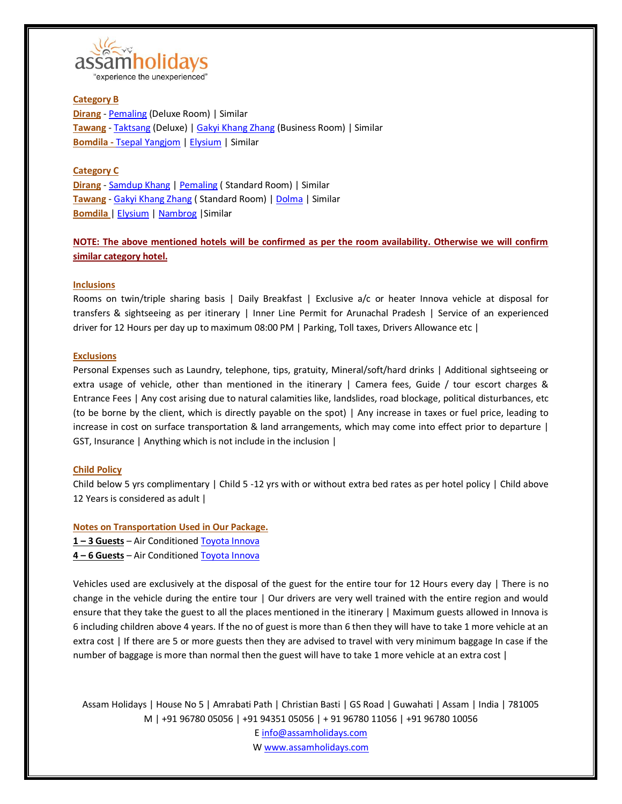

## **Category B**

**[Dirang](https://en.wikipedia.org/wiki/Dirang)** - [Pemaling](https://hotelpemaling.com/) (Deluxe Room) | Similar **[Tawang](https://en.wikipedia.org/wiki/Tawang)** - [Taktsang](http://hoteltaktsang.in/starhotel/index.php) (Deluxe) [| Gakyi Khang Zhang](https://www.tripadvisor.in/Hotel_Review-g858483-d2087293-Reviews-Hotel_Gakyi_Khang_Zhang-Tawang_Tawang_District_Arunachal_Pradesh.html) (Business Room) | Similar **[Bomdila](https://en.wikipedia.org/wiki/Bomdila) -** [Tsepal Yangjom](http://hoteltsepalyangjom.in/accommodation.html) | [Elysium](https://www.tripadvisor.in/Hotel_Review-g858482-d5111639-Reviews-Hotel_Elysium-Bomdila_West_Kameng_District_Arunachal_Pradesh.html) | Similar

### **Category C**

**[Dirang](https://en.wikipedia.org/wiki/Dirang)** - [Samdup Khang](https://hotel-samdup-khang.business.site/) [| Pemaling](https://hotelpemaling.com/) ( Standard Room) | Similar **[Tawang](https://en.wikipedia.org/wiki/Tawang)** - [Gakyi Khang Zhang](https://www.tripadvisor.in/Hotel_Review-g858483-d2087293-Reviews-Hotel_Gakyi_Khang_Zhang-Tawang_Tawang_District_Arunachal_Pradesh.html) ( Standard Room) [| Dolma](http://dolmahotels.in/about_us.php) | Similar **[Bomdila](https://en.wikipedia.org/wiki/Bomdila)** [| Elysium](https://www.tripadvisor.in/Hotel_Review-g858482-d5111639-Reviews-Hotel_Elysium-Bomdila_West_Kameng_District_Arunachal_Pradesh.html) [| Nambrog](https://www.tripadvisor.in/Hotel_Review-g858482-d12957379-Reviews-Hotel_Nambrog-Bomdila_West_Kameng_District_Arunachal_Pradesh.html) |Similar

# **NOTE: The above mentioned hotels will be confirmed as per the room availability. Otherwise we will confirm similar category hotel.**

### **Inclusions**

Rooms on twin/triple sharing basis | Daily Breakfast | Exclusive a/c or heater Innova vehicle at disposal for transfers & sightseeing as per itinerary | Inner Line Permit for Arunachal Pradesh | Service of an experienced driver for 12 Hours per day up to maximum 08:00 PM | Parking, Toll taxes, Drivers Allowance etc |

#### **Exclusions**

Personal Expenses such as Laundry, telephone, tips, gratuity, Mineral/soft/hard drinks | Additional sightseeing or extra usage of vehicle, other than mentioned in the itinerary | Camera fees, Guide / tour escort charges & Entrance Fees | Any cost arising due to natural calamities like, landslides, road blockage, political disturbances, etc (to be borne by the client, which is directly payable on the spot) | Any increase in taxes or fuel price, leading to increase in cost on surface transportation & land arrangements, which may come into effect prior to departure | GST, Insurance | Anything which is not include in the inclusion |

### **Child Policy**

Child below 5 yrs complimentary | Child 5 -12 yrs with or without extra bed rates as per hotel policy | Child above 12 Years is considered as adult |

**Notes on Transportation Used in Our Package. 1 – 3 Guests** – Air Conditione[d Toyota Innova](https://www.google.co.in/search?tbm=isch&q=toyota+innova&chips=q:toyota+innova,g_2:white&sa=X&ved=0ahUKEwiuzMj-847cAhVFfX0KHTTnDGUQ4lYIKSgA&biw=1536&bih=734&dpr=1.25) **4 – 6 Guests** – Air Conditione[d Toyota Innova](https://www.google.co.in/search?tbm=isch&q=toyota+innova&chips=q:toyota+innova,g_2:white&sa=X&ved=0ahUKEwiuzMj-847cAhVFfX0KHTTnDGUQ4lYIKSgA&biw=1536&bih=734&dpr=1.25)

Vehicles used are exclusively at the disposal of the guest for the entire tour for 12 Hours every day | There is no change in the vehicle during the entire tour | Our drivers are very well trained with the entire region and would ensure that they take the guest to all the places mentioned in the itinerary | Maximum guests allowed in Innova is 6 including children above 4 years. If the no of guest is more than 6 then they will have to take 1 more vehicle at an extra cost | If there are 5 or more guests then they are advised to travel with very minimum baggage In case if the number of baggage is more than normal then the guest will have to take 1 more vehicle at an extra cost |

Assam Holidays | House No 5 | Amrabati Path | Christian Basti | GS Road | Guwahati | Assam | India | 781005 M | +91 96780 05056 | +91 94351 05056 | + 91 96780 11056 | +91 96780 10056 [E info@assamholidays.com](mailto:info@assamholidays.com)

W [www.assamholidays.com](http://www.assamholidays.com/)